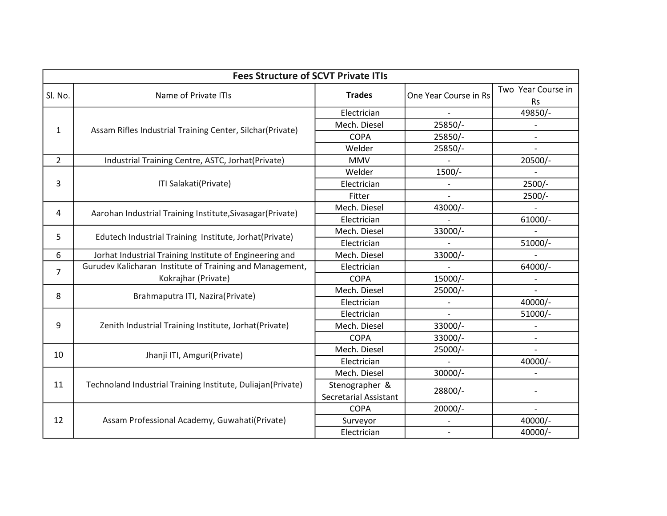| <b>Fees Structure of SCVT Private ITIs</b> |                                                             |                              |                          |                                 |
|--------------------------------------------|-------------------------------------------------------------|------------------------------|--------------------------|---------------------------------|
| Sl. No.                                    | Name of Private ITIs                                        | <b>Trades</b>                | One Year Course in Rs    | Two Year Course in<br><b>Rs</b> |
|                                            |                                                             | Electrician                  |                          | 49850/-                         |
| $\mathbf{1}$                               | Assam Rifles Industrial Training Center, Silchar(Private)   | Mech. Diesel                 | 25850/-                  |                                 |
|                                            |                                                             | <b>COPA</b>                  | 25850/-                  |                                 |
|                                            |                                                             | Welder                       | 25850/-                  |                                 |
| $\overline{2}$                             | Industrial Training Centre, ASTC, Jorhat(Private)           | <b>MMV</b>                   |                          | 20500/-                         |
|                                            |                                                             | Welder                       | 1500/-                   |                                 |
| 3                                          | ITI Salakati(Private)                                       | Electrician                  |                          | $2500/-$                        |
|                                            |                                                             | Fitter                       |                          | $2500/-$                        |
| 4                                          | Aarohan Industrial Training Institute, Sivasagar (Private)  | Mech. Diesel                 | 43000/-                  |                                 |
|                                            |                                                             | Electrician                  |                          | 61000/-                         |
| 5                                          | Edutech Industrial Training Institute, Jorhat(Private)      | Mech. Diesel                 | 33000/-                  |                                 |
|                                            |                                                             | Electrician                  |                          | 51000/-                         |
| 6                                          | Jorhat Industrial Training Institute of Engineering and     | Mech. Diesel                 | 33000/-                  |                                 |
| 7                                          | Gurudev Kalicharan Institute of Training and Management,    | Electrician                  |                          | 64000/-                         |
|                                            | Kokrajhar (Private)                                         | <b>COPA</b>                  | 15000/-                  |                                 |
| 8                                          | Brahmaputra ITI, Nazira(Private)                            | Mech. Diesel                 | 25000/-                  |                                 |
|                                            |                                                             | Electrician                  |                          | 40000/-                         |
|                                            |                                                             | Electrician                  |                          | 51000/-                         |
| 9                                          | Zenith Industrial Training Institute, Jorhat (Private)      | Mech. Diesel                 | 33000/-                  |                                 |
|                                            |                                                             | <b>COPA</b>                  | 33000/-                  | $\overline{\phantom{a}}$        |
| 10                                         | Jhanji ITI, Amguri(Private)                                 | Mech. Diesel                 | 25000/-                  |                                 |
|                                            |                                                             | Electrician                  |                          | 40000/-                         |
| 11                                         | Technoland Industrial Training Institute, Duliajan(Private) | Mech. Diesel                 | 30000/-                  |                                 |
|                                            |                                                             | Stenographer &               |                          |                                 |
|                                            |                                                             | <b>Secretarial Assistant</b> | 28800/-                  |                                 |
|                                            | Assam Professional Academy, Guwahati(Private)               | <b>COPA</b>                  | 20000/-                  |                                 |
| 12                                         |                                                             | Surveyor                     |                          | 40000/-                         |
|                                            |                                                             | Electrician                  | $\overline{\phantom{a}}$ | 40000/-                         |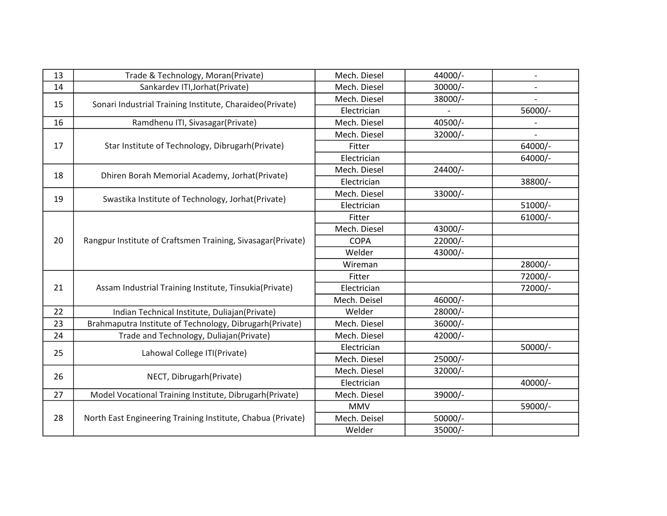| 13 | Trade & Technology, Moran(Private)                          | Mech. Diesel | 44000/- |           |
|----|-------------------------------------------------------------|--------------|---------|-----------|
| 14 | Sankardev ITI, Jorhat (Private)                             | Mech. Diesel | 30000/- |           |
|    |                                                             | Mech. Diesel | 38000/- |           |
| 15 | Sonari Industrial Training Institute, Charaideo(Private)    | Electrician  |         | 56000/-   |
| 16 | Ramdhenu ITI, Sivasagar(Private)                            | Mech. Diesel | 40500/- |           |
|    |                                                             | Mech. Diesel | 32000/- |           |
| 17 | Star Institute of Technology, Dibrugarh(Private)            | Fitter       |         | 64000/-   |
|    |                                                             | Electrician  |         | 64000/-   |
| 18 | Dhiren Borah Memorial Academy, Jorhat(Private)              | Mech. Diesel | 24400/- |           |
|    |                                                             | Electrician  |         | 38800/-   |
| 19 | Swastika Institute of Technology, Jorhat(Private)           | Mech. Diesel | 33000/- |           |
|    |                                                             | Electrician  |         | 51000/-   |
|    |                                                             | Fitter       |         | $61000/-$ |
|    |                                                             | Mech. Diesel | 43000/- |           |
| 20 | Rangpur Institute of Craftsmen Training, Sivasagar(Private) | <b>COPA</b>  | 22000/- |           |
|    |                                                             | Welder       | 43000/- |           |
|    |                                                             | Wireman      |         | 28000/-   |
| 21 | Assam Industrial Training Institute, Tinsukia(Private)      | Fitter       |         | 72000/-   |
|    |                                                             | Electrician  |         | 72000/-   |
|    |                                                             | Mech. Deisel | 46000/- |           |
| 22 | Indian Technical Institute, Duliajan(Private)               | Welder       | 28000/- |           |
| 23 | Brahmaputra Institute of Technology, Dibrugarh(Private)     | Mech. Diesel | 36000/- |           |
| 24 | Trade and Technology, Duliajan(Private)                     | Mech. Diesel | 42000/- |           |
| 25 | Lahowal College ITI(Private)                                | Electrician  |         | 50000/-   |
|    |                                                             | Mech. Diesel | 25000/- |           |
| 26 | NECT, Dibrugarh (Private)                                   | Mech. Diesel | 32000/- |           |
|    |                                                             | Electrician  |         | 40000/-   |
| 27 | Model Vocational Training Institute, Dibrugarh(Private)     | Mech. Diesel | 39000/- |           |
|    | North East Engineering Training Institute, Chabua (Private) | <b>MMV</b>   |         | 59000/-   |
| 28 |                                                             | Mech. Deisel | 50000/- |           |
|    |                                                             | Welder       | 35000/- |           |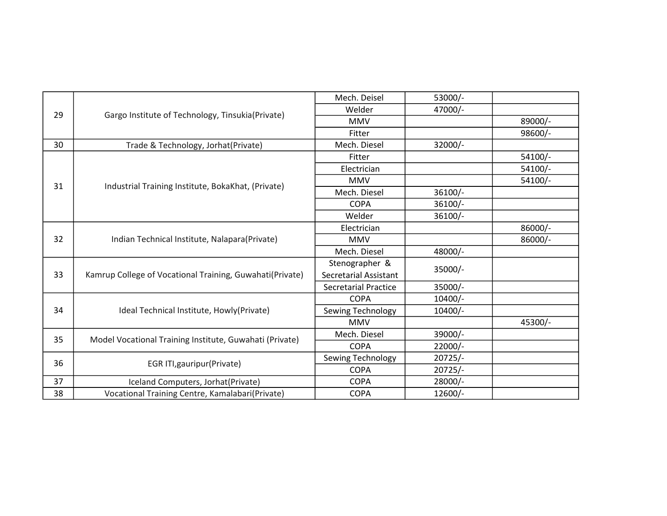| 29       |                                                                                                           | Mech. Deisel                 | 53000/-   |         |
|----------|-----------------------------------------------------------------------------------------------------------|------------------------------|-----------|---------|
|          |                                                                                                           | Welder                       | 47000/-   |         |
|          | Gargo Institute of Technology, Tinsukia(Private)                                                          | <b>MMV</b>                   |           | 89000/- |
|          |                                                                                                           | Fitter                       |           | 98600/- |
| 30       | Trade & Technology, Jorhat(Private)                                                                       | Mech. Diesel                 | 32000/-   |         |
|          |                                                                                                           | Fitter                       |           | 54100/- |
|          |                                                                                                           | Electrician                  |           | 54100/- |
| 31       |                                                                                                           | <b>MMV</b>                   |           | 54100/- |
|          | Industrial Training Institute, BokaKhat, (Private)                                                        | Mech. Diesel                 | 36100/-   |         |
|          |                                                                                                           | <b>COPA</b>                  | 36100/-   |         |
|          |                                                                                                           | Welder                       | 36100/-   |         |
|          |                                                                                                           | Electrician                  |           | 86000/- |
| 32       | Indian Technical Institute, Nalapara(Private)<br>Kamrup College of Vocational Training, Guwahati(Private) | <b>MMV</b>                   |           | 86000/- |
|          |                                                                                                           | Mech. Diesel                 | 48000/-   |         |
|          |                                                                                                           | Stenographer &               | 35000/-   |         |
| 33       |                                                                                                           | <b>Secretarial Assistant</b> |           |         |
|          |                                                                                                           | <b>Secretarial Practice</b>  | 35000/-   |         |
|          |                                                                                                           | <b>COPA</b>                  | $10400/-$ |         |
| 34<br>35 | Ideal Technical Institute, Howly(Private)<br>Model Vocational Training Institute, Guwahati (Private)      | Sewing Technology            | $10400/-$ |         |
|          |                                                                                                           | <b>MMV</b>                   |           | 45300/- |
|          |                                                                                                           | Mech. Diesel                 | 39000/-   |         |
|          |                                                                                                           | <b>COPA</b>                  | 22000/-   |         |
| 36       | EGR ITI, gauripur (Private)                                                                               | Sewing Technology            | $20725/-$ |         |
|          |                                                                                                           | <b>COPA</b>                  | $20725/-$ |         |
| 37       | Iceland Computers, Jorhat (Private)                                                                       | <b>COPA</b>                  | 28000/-   |         |
| 38       | Vocational Training Centre, Kamalabari(Private)                                                           | <b>COPA</b>                  | 12600/-   |         |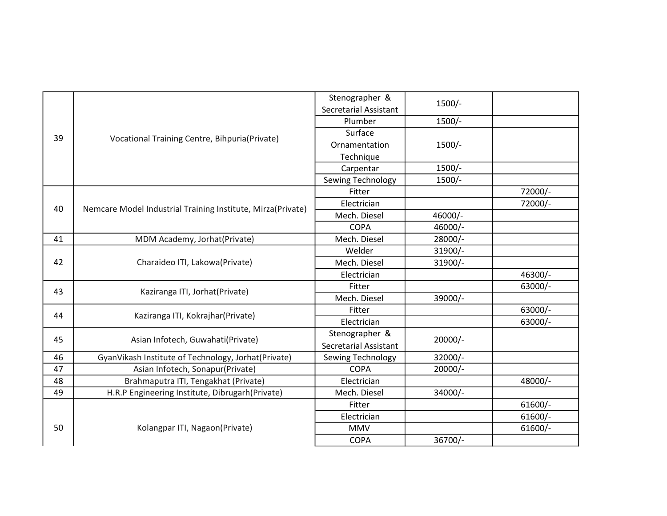| 1500/-<br><b>Secretarial Assistant</b><br>1500/-<br>Plumber<br>Surface<br>Vocational Training Centre, Bihpuria(Private)<br>39<br>1500/-<br>Ornamentation<br>Technique<br>1500/-<br>Carpentar<br>1500/-<br>Sewing Technology<br>72000/-<br>Fitter<br>Electrician<br>72000/-<br>Nemcare Model Industrial Training Institute, Mirza(Private)<br>40<br>Mech. Diesel<br>46000/-<br>46000/-<br><b>COPA</b><br>MDM Academy, Jorhat(Private)<br>28000/-<br>41<br>Mech. Diesel<br>31900/-<br>Welder<br>Charaideo ITI, Lakowa(Private)<br>42<br>Mech. Diesel<br>31900/-<br>46300/-<br>Electrician<br>63000/-<br>Fitter<br>43<br>Kaziranga ITI, Jorhat(Private)<br>Mech. Diesel<br>39000/-<br>63000/-<br>Fitter<br>44<br>Kaziranga ITI, Kokrajhar(Private)<br>Electrician<br>63000/-<br>Stenographer &<br>Asian Infotech, Guwahati(Private)<br>$20000/-$<br>45<br><b>Secretarial Assistant</b><br>32000/-<br>GyanVikash Institute of Technology, Jorhat(Private)<br>46<br>Sewing Technology<br>47<br>Asian Infotech, Sonapur(Private)<br><b>COPA</b><br>20000/-<br>Brahmaputra ITI, Tengakhat (Private)<br>48<br>Electrician<br>48000/-<br>49<br>34000/-<br>H.R.P Engineering Institute, Dibrugarh(Private)<br>Mech. Diesel<br>$61600/-$<br>Fitter<br>$61600/-$<br>Electrician<br>Kolangpar ITI, Nagaon(Private)<br>50<br><b>MMV</b><br>$61600/-$ |  |  |                |         |  |
|----------------------------------------------------------------------------------------------------------------------------------------------------------------------------------------------------------------------------------------------------------------------------------------------------------------------------------------------------------------------------------------------------------------------------------------------------------------------------------------------------------------------------------------------------------------------------------------------------------------------------------------------------------------------------------------------------------------------------------------------------------------------------------------------------------------------------------------------------------------------------------------------------------------------------------------------------------------------------------------------------------------------------------------------------------------------------------------------------------------------------------------------------------------------------------------------------------------------------------------------------------------------------------------------------------------------------------------|--|--|----------------|---------|--|
|                                                                                                                                                                                                                                                                                                                                                                                                                                                                                                                                                                                                                                                                                                                                                                                                                                                                                                                                                                                                                                                                                                                                                                                                                                                                                                                                        |  |  | Stenographer & |         |  |
|                                                                                                                                                                                                                                                                                                                                                                                                                                                                                                                                                                                                                                                                                                                                                                                                                                                                                                                                                                                                                                                                                                                                                                                                                                                                                                                                        |  |  |                |         |  |
|                                                                                                                                                                                                                                                                                                                                                                                                                                                                                                                                                                                                                                                                                                                                                                                                                                                                                                                                                                                                                                                                                                                                                                                                                                                                                                                                        |  |  |                |         |  |
|                                                                                                                                                                                                                                                                                                                                                                                                                                                                                                                                                                                                                                                                                                                                                                                                                                                                                                                                                                                                                                                                                                                                                                                                                                                                                                                                        |  |  |                |         |  |
|                                                                                                                                                                                                                                                                                                                                                                                                                                                                                                                                                                                                                                                                                                                                                                                                                                                                                                                                                                                                                                                                                                                                                                                                                                                                                                                                        |  |  |                |         |  |
|                                                                                                                                                                                                                                                                                                                                                                                                                                                                                                                                                                                                                                                                                                                                                                                                                                                                                                                                                                                                                                                                                                                                                                                                                                                                                                                                        |  |  |                |         |  |
|                                                                                                                                                                                                                                                                                                                                                                                                                                                                                                                                                                                                                                                                                                                                                                                                                                                                                                                                                                                                                                                                                                                                                                                                                                                                                                                                        |  |  |                |         |  |
|                                                                                                                                                                                                                                                                                                                                                                                                                                                                                                                                                                                                                                                                                                                                                                                                                                                                                                                                                                                                                                                                                                                                                                                                                                                                                                                                        |  |  |                |         |  |
|                                                                                                                                                                                                                                                                                                                                                                                                                                                                                                                                                                                                                                                                                                                                                                                                                                                                                                                                                                                                                                                                                                                                                                                                                                                                                                                                        |  |  |                |         |  |
|                                                                                                                                                                                                                                                                                                                                                                                                                                                                                                                                                                                                                                                                                                                                                                                                                                                                                                                                                                                                                                                                                                                                                                                                                                                                                                                                        |  |  |                |         |  |
|                                                                                                                                                                                                                                                                                                                                                                                                                                                                                                                                                                                                                                                                                                                                                                                                                                                                                                                                                                                                                                                                                                                                                                                                                                                                                                                                        |  |  |                |         |  |
|                                                                                                                                                                                                                                                                                                                                                                                                                                                                                                                                                                                                                                                                                                                                                                                                                                                                                                                                                                                                                                                                                                                                                                                                                                                                                                                                        |  |  |                |         |  |
|                                                                                                                                                                                                                                                                                                                                                                                                                                                                                                                                                                                                                                                                                                                                                                                                                                                                                                                                                                                                                                                                                                                                                                                                                                                                                                                                        |  |  |                |         |  |
|                                                                                                                                                                                                                                                                                                                                                                                                                                                                                                                                                                                                                                                                                                                                                                                                                                                                                                                                                                                                                                                                                                                                                                                                                                                                                                                                        |  |  |                |         |  |
|                                                                                                                                                                                                                                                                                                                                                                                                                                                                                                                                                                                                                                                                                                                                                                                                                                                                                                                                                                                                                                                                                                                                                                                                                                                                                                                                        |  |  |                |         |  |
|                                                                                                                                                                                                                                                                                                                                                                                                                                                                                                                                                                                                                                                                                                                                                                                                                                                                                                                                                                                                                                                                                                                                                                                                                                                                                                                                        |  |  |                |         |  |
|                                                                                                                                                                                                                                                                                                                                                                                                                                                                                                                                                                                                                                                                                                                                                                                                                                                                                                                                                                                                                                                                                                                                                                                                                                                                                                                                        |  |  |                |         |  |
|                                                                                                                                                                                                                                                                                                                                                                                                                                                                                                                                                                                                                                                                                                                                                                                                                                                                                                                                                                                                                                                                                                                                                                                                                                                                                                                                        |  |  |                |         |  |
|                                                                                                                                                                                                                                                                                                                                                                                                                                                                                                                                                                                                                                                                                                                                                                                                                                                                                                                                                                                                                                                                                                                                                                                                                                                                                                                                        |  |  |                |         |  |
|                                                                                                                                                                                                                                                                                                                                                                                                                                                                                                                                                                                                                                                                                                                                                                                                                                                                                                                                                                                                                                                                                                                                                                                                                                                                                                                                        |  |  |                |         |  |
|                                                                                                                                                                                                                                                                                                                                                                                                                                                                                                                                                                                                                                                                                                                                                                                                                                                                                                                                                                                                                                                                                                                                                                                                                                                                                                                                        |  |  |                |         |  |
|                                                                                                                                                                                                                                                                                                                                                                                                                                                                                                                                                                                                                                                                                                                                                                                                                                                                                                                                                                                                                                                                                                                                                                                                                                                                                                                                        |  |  |                |         |  |
|                                                                                                                                                                                                                                                                                                                                                                                                                                                                                                                                                                                                                                                                                                                                                                                                                                                                                                                                                                                                                                                                                                                                                                                                                                                                                                                                        |  |  |                |         |  |
|                                                                                                                                                                                                                                                                                                                                                                                                                                                                                                                                                                                                                                                                                                                                                                                                                                                                                                                                                                                                                                                                                                                                                                                                                                                                                                                                        |  |  |                |         |  |
|                                                                                                                                                                                                                                                                                                                                                                                                                                                                                                                                                                                                                                                                                                                                                                                                                                                                                                                                                                                                                                                                                                                                                                                                                                                                                                                                        |  |  |                |         |  |
|                                                                                                                                                                                                                                                                                                                                                                                                                                                                                                                                                                                                                                                                                                                                                                                                                                                                                                                                                                                                                                                                                                                                                                                                                                                                                                                                        |  |  |                |         |  |
|                                                                                                                                                                                                                                                                                                                                                                                                                                                                                                                                                                                                                                                                                                                                                                                                                                                                                                                                                                                                                                                                                                                                                                                                                                                                                                                                        |  |  |                |         |  |
|                                                                                                                                                                                                                                                                                                                                                                                                                                                                                                                                                                                                                                                                                                                                                                                                                                                                                                                                                                                                                                                                                                                                                                                                                                                                                                                                        |  |  |                |         |  |
|                                                                                                                                                                                                                                                                                                                                                                                                                                                                                                                                                                                                                                                                                                                                                                                                                                                                                                                                                                                                                                                                                                                                                                                                                                                                                                                                        |  |  |                |         |  |
|                                                                                                                                                                                                                                                                                                                                                                                                                                                                                                                                                                                                                                                                                                                                                                                                                                                                                                                                                                                                                                                                                                                                                                                                                                                                                                                                        |  |  | <b>COPA</b>    | 36700/- |  |